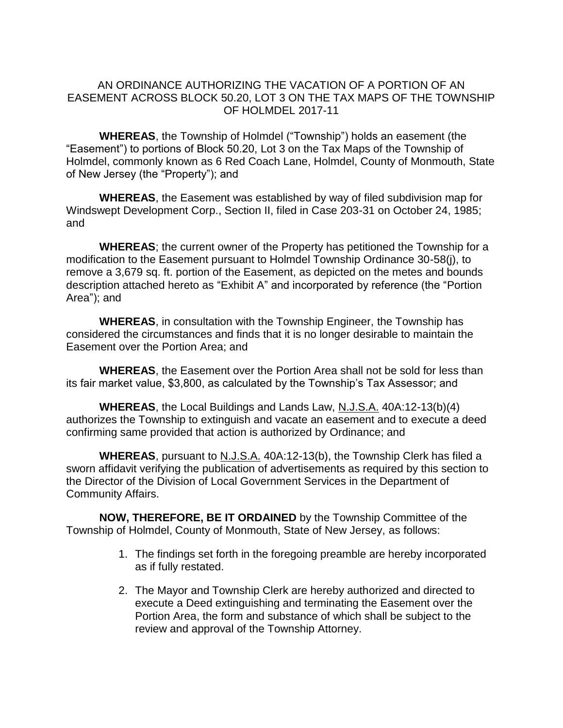## AN ORDINANCE AUTHORIZING THE VACATION OF A PORTION OF AN EASEMENT ACROSS BLOCK 50.20, LOT 3 ON THE TAX MAPS OF THE TOWNSHIP OF HOLMDEL 2017-11

**WHEREAS**, the Township of Holmdel ("Township") holds an easement (the "Easement") to portions of Block 50.20, Lot 3 on the Tax Maps of the Township of Holmdel, commonly known as 6 Red Coach Lane, Holmdel, County of Monmouth, State of New Jersey (the "Property"); and

**WHEREAS**, the Easement was established by way of filed subdivision map for Windswept Development Corp., Section II, filed in Case 203-31 on October 24, 1985; and

**WHEREAS**; the current owner of the Property has petitioned the Township for a modification to the Easement pursuant to Holmdel Township Ordinance 30-58(j), to remove a 3,679 sq. ft. portion of the Easement, as depicted on the metes and bounds description attached hereto as "Exhibit A" and incorporated by reference (the "Portion Area"); and

**WHEREAS**, in consultation with the Township Engineer, the Township has considered the circumstances and finds that it is no longer desirable to maintain the Easement over the Portion Area; and

**WHEREAS**, the Easement over the Portion Area shall not be sold for less than its fair market value, \$3,800, as calculated by the Township's Tax Assessor; and

**WHEREAS**, the Local Buildings and Lands Law, N.J.S.A. 40A:12-13(b)(4) authorizes the Township to extinguish and vacate an easement and to execute a deed confirming same provided that action is authorized by Ordinance; and

**WHEREAS**, pursuant to N.J.S.A. 40A:12-13(b), the Township Clerk has filed a sworn affidavit verifying the publication of advertisements as required by this section to the Director of the Division of Local Government Services in the Department of Community Affairs.

**NOW, THEREFORE, BE IT ORDAINED** by the Township Committee of the Township of Holmdel, County of Monmouth, State of New Jersey, as follows:

- 1. The findings set forth in the foregoing preamble are hereby incorporated as if fully restated.
- 2. The Mayor and Township Clerk are hereby authorized and directed to execute a Deed extinguishing and terminating the Easement over the Portion Area, the form and substance of which shall be subject to the review and approval of the Township Attorney.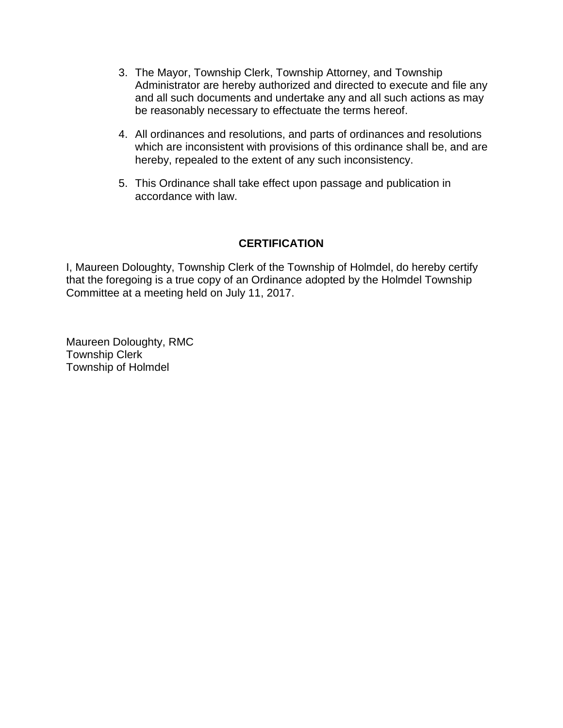- 3. The Mayor, Township Clerk, Township Attorney, and Township Administrator are hereby authorized and directed to execute and file any and all such documents and undertake any and all such actions as may be reasonably necessary to effectuate the terms hereof.
- 4. All ordinances and resolutions, and parts of ordinances and resolutions which are inconsistent with provisions of this ordinance shall be, and are hereby, repealed to the extent of any such inconsistency.
- 5. This Ordinance shall take effect upon passage and publication in accordance with law.

## **CERTIFICATION**

I, Maureen Doloughty, Township Clerk of the Township of Holmdel, do hereby certify that the foregoing is a true copy of an Ordinance adopted by the Holmdel Township Committee at a meeting held on July 11, 2017.

Maureen Doloughty, RMC Township Clerk Township of Holmdel